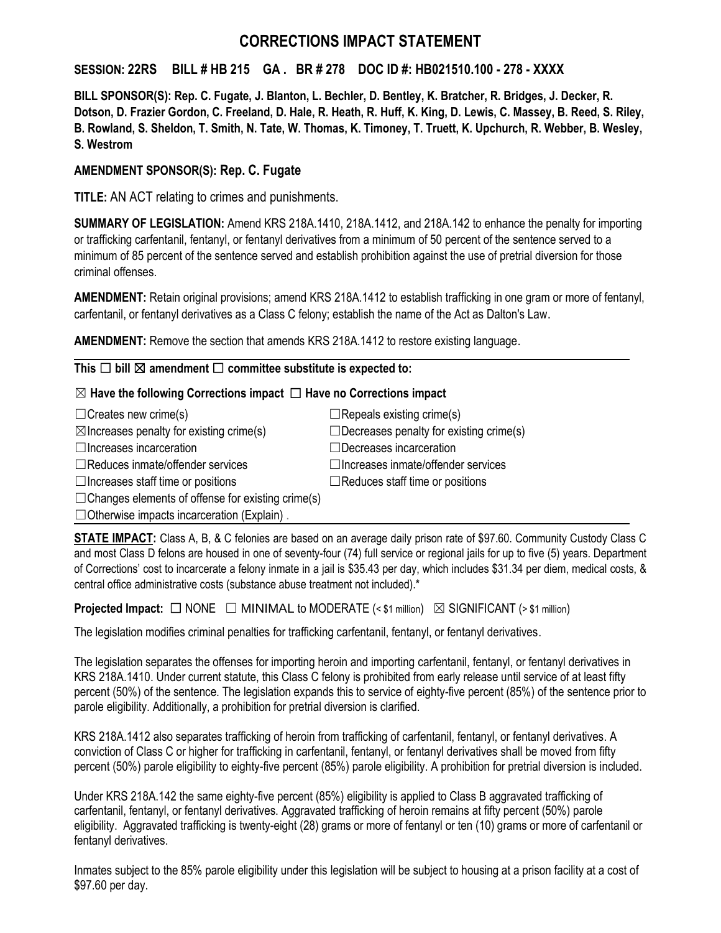# **CORRECTIONS IMPACT STATEMENT**

### **SESSION: 22RS BILL # HB 215 GA . BR # 278 DOC ID #: HB021510.100 - 278 - XXXX**

**BILL SPONSOR(S): Rep. C. Fugate, J. Blanton, L. Bechler, D. Bentley, K. Bratcher, R. Bridges, J. Decker, R. Dotson, D. Frazier Gordon, C. Freeland, D. Hale, R. Heath, R. Huff, K. King, D. Lewis, C. Massey, B. Reed, S. Riley, B. Rowland, S. Sheldon, T. Smith, N. Tate, W. Thomas, K. Timoney, T. Truett, K. Upchurch, R. Webber, B. Wesley, S. Westrom** 

### **AMENDMENT SPONSOR(S): Rep. C. Fugate**

**TITLE:** AN ACT relating to crimes and punishments.

**SUMMARY OF LEGISLATION:** Amend KRS 218A.1410, 218A.1412, and 218A.142 to enhance the penalty for importing or trafficking carfentanil, fentanyl, or fentanyl derivatives from a minimum of 50 percent of the sentence served to a minimum of 85 percent of the sentence served and establish prohibition against the use of pretrial diversion for those criminal offenses.

**AMENDMENT:** Retain original provisions; amend KRS 218A.1412 to establish trafficking in one gram or more of fentanyl, carfentanil, or fentanyl derivatives as a Class C felony; establish the name of the Act as Dalton's Law.

**AMENDMENT:** Remove the section that amends KRS 218A.1412 to restore existing language.

#### **This** ☐ **bill** ☒ **amendment** ☐ **committee substitute is expected to:**

#### ☒ **Have the following Corrections impact** ☐ **Have no Corrections impact**

| $\Box$ Creates new crime(s)                              | $\Box$ Repeals existing crime(s)               |
|----------------------------------------------------------|------------------------------------------------|
| $\boxtimes$ Increases penalty for existing crime(s)      | $\Box$ Decreases penalty for existing crime(s) |
| $\Box$ Increases incarceration                           | $\Box$ Decreases incarceration                 |
| $\Box$ Reduces inmate/offender services                  | $\Box$ Increases inmate/offender services      |
| $\Box$ Increases staff time or positions                 | $\Box$ Reduces staff time or positions         |
| $\Box$ Changes elements of offense for existing crime(s) |                                                |
| $\Box$ Otherwise impacts incarceration (Explain).        |                                                |

**STATE IMPACT:** Class A, B, & C felonies are based on an average daily prison rate of \$97.60. Community Custody Class C and most Class D felons are housed in one of seventy-four (74) full service or regional jails for up to five (5) years. Department of Corrections' cost to incarcerate a felony inmate in a jail is \$35.43 per day, which includes \$31.34 per diem, medical costs, & central office administrative costs (substance abuse treatment not included).\*

**Projected Impact:**  $\Box$  NONE  $\Box$  MINIMAL to MODERATE (< \$1 million)  $\boxtimes$  SIGNIFICANT (> \$1 million)

The legislation modifies criminal penalties for trafficking carfentanil, fentanyl, or fentanyl derivatives.

The legislation separates the offenses for importing heroin and importing carfentanil, fentanyl, or fentanyl derivatives in KRS 218A.1410. Under current statute, this Class C felony is prohibited from early release until service of at least fifty percent (50%) of the sentence. The legislation expands this to service of eighty-five percent (85%) of the sentence prior to parole eligibility. Additionally, a prohibition for pretrial diversion is clarified.

KRS 218A.1412 also separates trafficking of heroin from trafficking of carfentanil, fentanyl, or fentanyl derivatives. A conviction of Class C or higher for trafficking in carfentanil, fentanyl, or fentanyl derivatives shall be moved from fifty percent (50%) parole eligibility to eighty-five percent (85%) parole eligibility. A prohibition for pretrial diversion is included.

Under KRS 218A.142 the same eighty-five percent (85%) eligibility is applied to Class B aggravated trafficking of carfentanil, fentanyl, or fentanyl derivatives. Aggravated trafficking of heroin remains at fifty percent (50%) parole eligibility. Aggravated trafficking is twenty-eight (28) grams or more of fentanyl or ten (10) grams or more of carfentanil or fentanyl derivatives.

Inmates subject to the 85% parole eligibility under this legislation will be subject to housing at a prison facility at a cost of \$97.60 per day.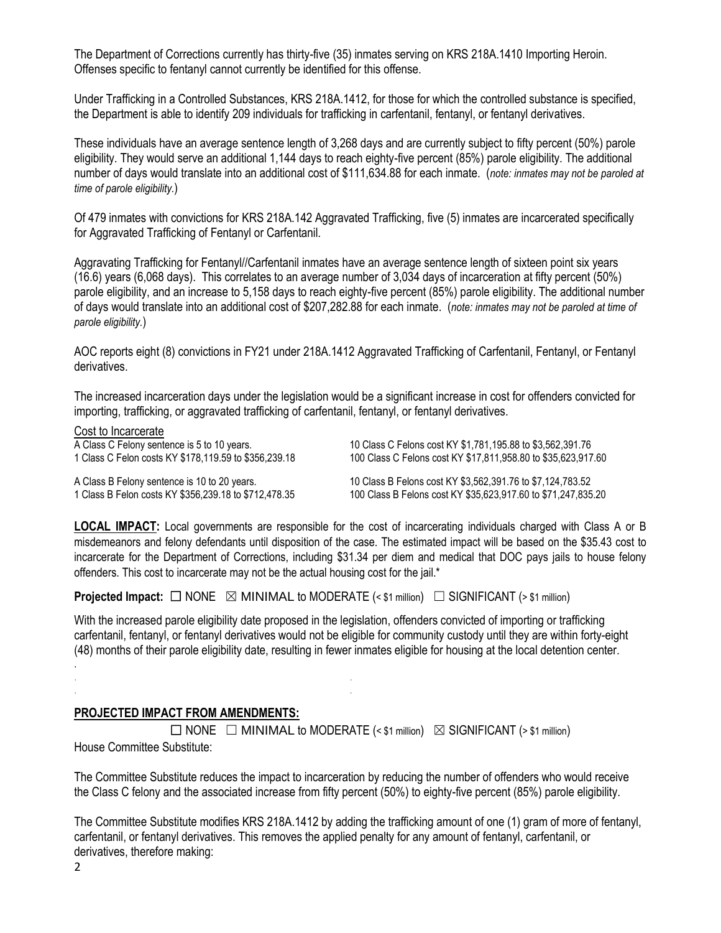The Department of Corrections currently has thirty-five (35) inmates serving on KRS 218A.1410 Importing Heroin. Offenses specific to fentanyl cannot currently be identified for this offense.

Under Trafficking in a Controlled Substances, KRS 218A.1412, for those for which the controlled substance is specified, the Department is able to identify 209 individuals for trafficking in carfentanil, fentanyl, or fentanyl derivatives.

These individuals have an average sentence length of 3,268 days and are currently subject to fifty percent (50%) parole eligibility. They would serve an additional 1,144 days to reach eighty-five percent (85%) parole eligibility. The additional number of days would translate into an additional cost of \$111,634.88 for each inmate. (*note: inmates may not be paroled at time of parole eligibility.*)

Of 479 inmates with convictions for KRS 218A.142 Aggravated Trafficking, five (5) inmates are incarcerated specifically for Aggravated Trafficking of Fentanyl or Carfentanil.

Aggravating Trafficking for Fentanyl//Carfentanil inmates have an average sentence length of sixteen point six years (16.6) years (6,068 days). This correlates to an average number of 3,034 days of incarceration at fifty percent (50%) parole eligibility, and an increase to 5,158 days to reach eighty-five percent (85%) parole eligibility. The additional number of days would translate into an additional cost of \$207,282.88 for each inmate. (*note: inmates may not be paroled at time of parole eligibility.*)

AOC reports eight (8) convictions in FY21 under 218A.1412 Aggravated Trafficking of Carfentanil, Fentanyl, or Fentanyl derivatives.

The increased incarceration days under the legislation would be a significant increase in cost for offenders convicted for importing, trafficking, or aggravated trafficking of carfentanil, fentanyl, or fentanyl derivatives.

Cost to Incarcerate A Class C Felony sentence is 5 to 10 years. 10 Class C Felons cost KY \$1,781,195.88 to \$3,562,391.76 1 Class C Felon costs KY \$178,119.59 to \$356,239.18 100 Class C Felons cost KY \$17,811,958.80 to \$35,623,917.60 A Class B Felony sentence is 10 to 20 years. 10 Class B Felons cost KY \$3,562,391.76 to \$7,124,783.52 1 Class B Felon costs KY \$356,239.18 to \$712,478.35 100 Class B Felons cost KY \$35,623,917.60 to \$71,247,835.20

**LOCAL IMPACT:** Local governments are responsible for the cost of incarcerating individuals charged with Class A or B misdemeanors and felony defendants until disposition of the case. The estimated impact will be based on the \$35.43 cost to incarcerate for the Department of Corrections, including \$31.34 per diem and medical that DOC pays jails to house felony offenders. This cost to incarcerate may not be the actual housing cost for the jail.\*

**Projected Impact:**  $\Box$  NONE  $\boxtimes$  MINIMAL to MODERATE (< \$1 million)  $\Box$  SIGNIFICANT (> \$1 million)

With the increased parole eligibility date proposed in the legislation, offenders convicted of importing or trafficking carfentanil, fentanyl, or fentanyl derivatives would not be eligible for community custody until they are within forty-eight (48) months of their parole eligibility date, resulting in fewer inmates eligible for housing at the local detention center.

#### **PROJECTED IMPACT FROM AMENDMENTS:**

. . . .

 $\Box$  NONE  $\Box$  MINIMAL to MODERATE (< \$1 million)  $\boxtimes$  SIGNIFICANT (> \$1 million) House Committee Substitute:

The Committee Substitute reduces the impact to incarceration by reducing the number of offenders who would receive the Class C felony and the associated increase from fifty percent (50%) to eighty-five percent (85%) parole eligibility.

The Committee Substitute modifies KRS 218A.1412 by adding the trafficking amount of one (1) gram of more of fentanyl, carfentanil, or fentanyl derivatives. This removes the applied penalty for any amount of fentanyl, carfentanil, or derivatives, therefore making:

2

.